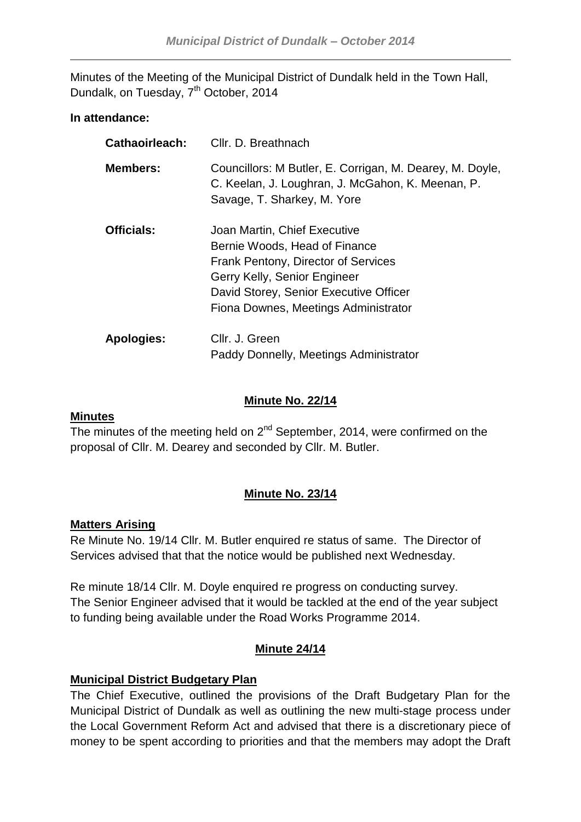Minutes of the Meeting of the Municipal District of Dundalk held in the Town Hall, Dundalk, on Tuesday, 7<sup>th</sup> October, 2014

### **In attendance:**

| Cathaoirleach:    | Cllr. D. Breathnach                                                                                                                                                                                                    |
|-------------------|------------------------------------------------------------------------------------------------------------------------------------------------------------------------------------------------------------------------|
| <b>Members:</b>   | Councillors: M Butler, E. Corrigan, M. Dearey, M. Doyle,<br>C. Keelan, J. Loughran, J. McGahon, K. Meenan, P.<br>Savage, T. Sharkey, M. Yore                                                                           |
| <b>Officials:</b> | Joan Martin, Chief Executive<br>Bernie Woods, Head of Finance<br>Frank Pentony, Director of Services<br>Gerry Kelly, Senior Engineer<br>David Storey, Senior Executive Officer<br>Fiona Downes, Meetings Administrator |
| <b>Apologies:</b> | Cllr. J. Green<br>Paddy Donnelly, Meetings Administrator                                                                                                                                                               |

### **Minute No. 22/14**

#### **Minutes**

The minutes of the meeting held on  $2^{nd}$  September, 2014, were confirmed on the proposal of Cllr. M. Dearey and seconded by Cllr. M. Butler.

# **Minute No. 23/14**

#### **Matters Arising**

Re Minute No. 19/14 Cllr. M. Butler enquired re status of same. The Director of Services advised that that the notice would be published next Wednesday.

Re minute 18/14 Cllr. M. Doyle enquired re progress on conducting survey. The Senior Engineer advised that it would be tackled at the end of the year subject to funding being available under the Road Works Programme 2014.

# **Minute 24/14**

# **Municipal District Budgetary Plan**

The Chief Executive, outlined the provisions of the Draft Budgetary Plan for the Municipal District of Dundalk as well as outlining the new multi-stage process under the Local Government Reform Act and advised that there is a discretionary piece of money to be spent according to priorities and that the members may adopt the Draft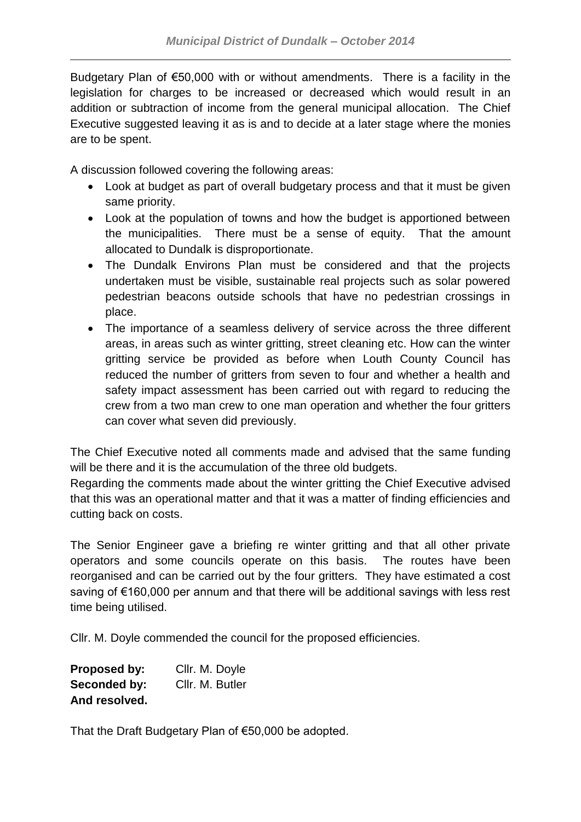Budgetary Plan of €50,000 with or without amendments. There is a facility in the legislation for charges to be increased or decreased which would result in an addition or subtraction of income from the general municipal allocation. The Chief Executive suggested leaving it as is and to decide at a later stage where the monies are to be spent.

A discussion followed covering the following areas:

- Look at budget as part of overall budgetary process and that it must be given same priority.
- Look at the population of towns and how the budget is apportioned between the municipalities. There must be a sense of equity. That the amount allocated to Dundalk is disproportionate.
- The Dundalk Environs Plan must be considered and that the projects undertaken must be visible, sustainable real projects such as solar powered pedestrian beacons outside schools that have no pedestrian crossings in place.
- The importance of a seamless delivery of service across the three different areas, in areas such as winter gritting, street cleaning etc. How can the winter gritting service be provided as before when Louth County Council has reduced the number of gritters from seven to four and whether a health and safety impact assessment has been carried out with regard to reducing the crew from a two man crew to one man operation and whether the four gritters can cover what seven did previously.

The Chief Executive noted all comments made and advised that the same funding will be there and it is the accumulation of the three old budgets.

Regarding the comments made about the winter gritting the Chief Executive advised that this was an operational matter and that it was a matter of finding efficiencies and cutting back on costs.

The Senior Engineer gave a briefing re winter gritting and that all other private operators and some councils operate on this basis. The routes have been reorganised and can be carried out by the four gritters. They have estimated a cost saving of €160,000 per annum and that there will be additional savings with less rest time being utilised.

Cllr. M. Doyle commended the council for the proposed efficiencies.

| Proposed by:  | Cllr. M. Doyle  |
|---------------|-----------------|
| Seconded by:  | Cllr. M. Butler |
| And resolved. |                 |

That the Draft Budgetary Plan of €50,000 be adopted.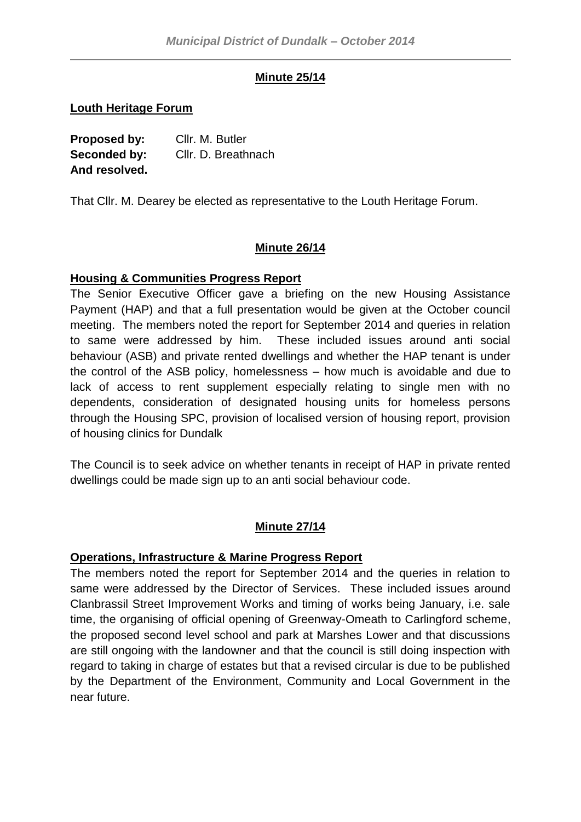# **Minute 25/14**

### **Louth Heritage Forum**

**Proposed by:** Cllr. M. Butler **Seconded by:** Cllr. D. Breathnach **And resolved.**

That Cllr. M. Dearey be elected as representative to the Louth Heritage Forum.

# **Minute 26/14**

# **Housing & Communities Progress Report**

The Senior Executive Officer gave a briefing on the new Housing Assistance Payment (HAP) and that a full presentation would be given at the October council meeting. The members noted the report for September 2014 and queries in relation to same were addressed by him. These included issues around anti social behaviour (ASB) and private rented dwellings and whether the HAP tenant is under the control of the ASB policy, homelessness – how much is avoidable and due to lack of access to rent supplement especially relating to single men with no dependents, consideration of designated housing units for homeless persons through the Housing SPC, provision of localised version of housing report, provision of housing clinics for Dundalk

The Council is to seek advice on whether tenants in receipt of HAP in private rented dwellings could be made sign up to an anti social behaviour code.

# **Minute 27/14**

# **Operations, Infrastructure & Marine Progress Report**

The members noted the report for September 2014 and the queries in relation to same were addressed by the Director of Services. These included issues around Clanbrassil Street Improvement Works and timing of works being January, i.e. sale time, the organising of official opening of Greenway-Omeath to Carlingford scheme, the proposed second level school and park at Marshes Lower and that discussions are still ongoing with the landowner and that the council is still doing inspection with regard to taking in charge of estates but that a revised circular is due to be published by the Department of the Environment, Community and Local Government in the near future.